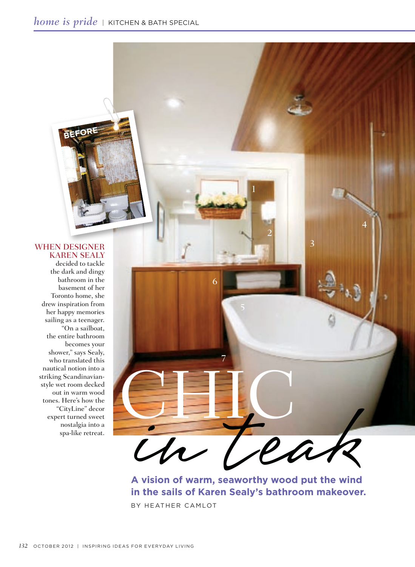# WHEN DESIGNER Karen Sealy

**BEFORE**

decided to tackle the dark and dingy bathroom in the basement of her Toronto home, she drew inspiration from her happy memories sailing as a teenager. "On a sailboat, the entire bathroom becomes your shower," says Sealy, who translated this nautical notion into a striking Scandinavianstyle wet room decked out in warm wood tones. Here's how the "CityLine" decor expert turned sweet nostalgia into a spa-like retreat.



**A vision of warm, seaworthy wood put the wind in the sails of Karen Sealy's bathroom makeover.** BY HEATHER CAMLOT